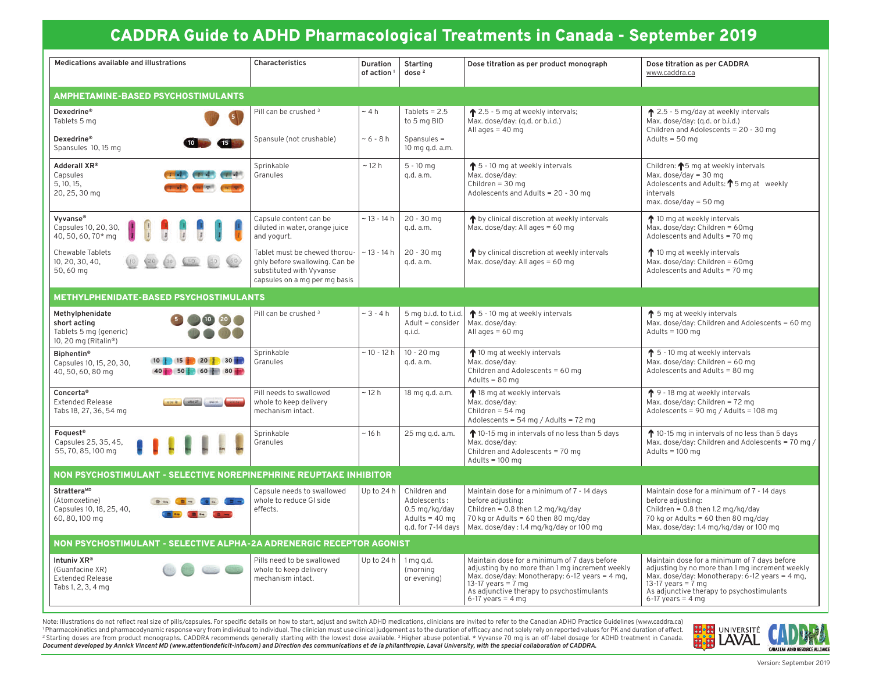# CADDRA Guide to ADHD Pharmacological Treatments in Canada - September 2019

| Medications available and illustrations                                                                 | Characteristics                                                                                                              | Duration<br>of action <sup>1</sup> | Starting<br>dose $2$                                                                    | Dose titration as per product monograph                                                                                                                                                                                                                 | Dose titration as per CADDRA<br>www.caddra.ca                                                                                                                                                                                                             |
|---------------------------------------------------------------------------------------------------------|------------------------------------------------------------------------------------------------------------------------------|------------------------------------|-----------------------------------------------------------------------------------------|---------------------------------------------------------------------------------------------------------------------------------------------------------------------------------------------------------------------------------------------------------|-----------------------------------------------------------------------------------------------------------------------------------------------------------------------------------------------------------------------------------------------------------|
| <b>AMPHETAMINE-BASED PSYCHOSTIMULANTS</b>                                                               |                                                                                                                              |                                    |                                                                                         |                                                                                                                                                                                                                                                         |                                                                                                                                                                                                                                                           |
| Dexedrine®<br>Tablets 5 mg                                                                              | Pill can be crushed 3                                                                                                        | $~\sim$ 4 h                        | Tablets = $2.5$<br>to 5 mg BID                                                          | ↑ 2.5 - 5 mg at weekly intervals;<br>Max. dose/day: (g.d. or b.i.d.)<br>All ages $=$ 40 mg                                                                                                                                                              | ↑ 2.5 - 5 mg/day at weekly intervals<br>Max. dose/day: (g.d. or b.i.d.)<br>Children and Adolescents = 20 - 30 mg                                                                                                                                          |
| Dexedrine®<br>Spansules 10, 15 mg                                                                       | Spansule (not crushable)                                                                                                     | $~5 - 8 h$                         | Spansules =<br>10 mg g.d. a.m.                                                          |                                                                                                                                                                                                                                                         | Adults = $50$ mg                                                                                                                                                                                                                                          |
| Adderall XR®<br>Capsules<br><b>COLOR</b><br>5.10.15.<br>20, 25, 30 mg                                   | Sprinkable<br>Granules                                                                                                       | ~12 h                              | $5 - 10$ mg<br>q.d. a.m.                                                                | $\uparrow$ 5 - 10 mg at weekly intervals<br>Max. dose/day:<br>Children = $30 \text{ ma}$<br>Adolescents and Adults = 20 - 30 mg                                                                                                                         | Children: ↑5 mg at weekly intervals<br>Max. $dose/day = 30$ mg<br>Adolescents and Adults: $\uparrow$ 5 mg at weekly<br>intervals<br>max. $dose/day = 50 mg$                                                                                               |
| Vyvanse®<br>Capsules 10, 20, 30,<br>40, 50, 60, 70* ma                                                  | Capsule content can be<br>diluted in water, orange juice<br>and yogurt.                                                      | $~13 - 14 h$                       | $20 - 30$ mg<br>q.d. a.m.                                                               | ↑ by clinical discretion at weekly intervals<br>Max. dose/day: All ages = 60 mg                                                                                                                                                                         | ↑ 10 mg at weekly intervals<br>Max. dose/day: Children = $60$ mg<br>Adolescents and Adults = 70 mg                                                                                                                                                        |
| Chewable Tablets<br>10, 20, 30, 40,<br>50,60 mg                                                         | Tablet must be chewed thorou-<br>ghly before swallowing. Can be<br>substituted with Vyvanse<br>capsules on a mg per mg basis | ~ 13 - 14 h                        | $20 - 30$ mg<br>q.d. a.m.                                                               | ↑ by clinical discretion at weekly intervals<br>Max. dose/day: All ages = 60 mg                                                                                                                                                                         | ↑ 10 mg at weekly intervals<br>Max. dose/day: Children = 60mg<br>Adolescents and Adults = 70 mg                                                                                                                                                           |
| METHYLPHENIDATE-BASED PSYCHOSTIMULANTS                                                                  |                                                                                                                              |                                    |                                                                                         |                                                                                                                                                                                                                                                         |                                                                                                                                                                                                                                                           |
| Methylphenidate<br>$10\quad 20$<br>short acting<br>Tablets 5 mg (generic)<br>10, 20 mg (Ritalin®)       | Pill can be crushed <sup>3</sup>                                                                                             | $~3 - 4 h$                         | 5 mg b.i.d. to t.i.d.<br>$Adult = \text{consider}$<br>g.i.d.                            | $\uparrow$ 5 - 10 mg at weekly intervals<br>Max. dose/day:<br>All ages = $60$ mg                                                                                                                                                                        | ↑ 5 mg at weekly intervals<br>Max. dose/day: Children and Adolescents = 60 mg<br>Adults = $100$ mg                                                                                                                                                        |
| <b>Biphentin®</b><br>$10$ 15 $20$ 30<br>Capsules 10, 15, 20, 30,<br>40 50 60 80 80<br>40, 50, 60, 80 mg | Sprinkable<br>Granules                                                                                                       | $~10 - 12 h$                       | $10 - 20$ mg<br>q.d. a.m.                                                               | ↑ 10 mg at weekly intervals<br>Max. dose/day:<br>Children and Adolescents = 60 mg<br>Adults = $80$ mg                                                                                                                                                   | $\uparrow$ 5 - 10 mg at weekly intervals<br>Max. dose/day: Children = 60 mg<br>Adolescents and Adults = 80 mg                                                                                                                                             |
| Concerta®<br><b>Extended Release</b><br>usual (seusan) such<br>Tabs 18, 27, 36, 54 mg                   | Pill needs to swallowed<br>whole to keep delivery<br>mechanism intact.                                                       | ~12 h                              | 18 mg g.d. a.m.                                                                         | ↑ 18 mg at weekly intervals<br>Max. dose/day:<br>Children = $54$ ma<br>Adolescents = $54 \text{ mg}$ / Adults = $72 \text{ mg}$                                                                                                                         | $\uparrow$ 9 - 18 mg at weekly intervals<br>Max. dose/day: Children = 72 mg<br>Adolescents = 90 mg / Adults = 108 mg                                                                                                                                      |
| Foguest <sup>®</sup><br>Capsules 25, 35, 45,<br>55, 70, 85, 100 mg                                      | Sprinkable<br>Granules                                                                                                       | ~16h                               | 25 mg g.d. a.m.                                                                         | ↑ 10-15 mg in intervals of no less than 5 days<br>Max. dose/day:<br>Children and Adolescents = 70 mg<br>Adults = $100$ mg                                                                                                                               | ↑ 10-15 mg in intervals of no less than 5 days<br>Max. dose/day: Children and Adolescents = 70 mg /<br>Adults = $100$ mg                                                                                                                                  |
| NON PSYCHOSTIMULANT - SELECTIVE NOREPINEPHRINE REUPTAKE INHIBITOR                                       |                                                                                                                              |                                    |                                                                                         |                                                                                                                                                                                                                                                         |                                                                                                                                                                                                                                                           |
| StratteraMD<br>(Atomoxetine)<br>Capsules 10, 18, 25, 40,<br>$m + 1$<br>60, 80, 100 mg                   | Capsule needs to swallowed<br>whole to reduce GI side<br>effects.                                                            | Up to 24 h                         | Children and<br>Adolescents:<br>0.5 mg/kg/day<br>Adults = $40$ ma<br>g.d. for 7-14 days | Maintain dose for a minimum of 7 - 14 days<br>before adjusting:<br>Children = $0.8$ then 1.2 mg/kg/day<br>70 kg or Adults = $60$ then 80 mg/day<br>Max. dose/day: 1.4 mg/kg/day or 100 mg                                                               | Maintain dose for a minimum of 7 - 14 days<br>before adjusting:<br>Children = $0.8$ then 1.2 mg/kg/day<br>70 kg or Adults = 60 then 80 mg/day<br>Max. dose/day: 1.4 mg/kg/day or 100 mg                                                                   |
| NON PSYCHOSTIMULANT - SELECTIVE ALPHA-2A ADRENERGIC RECEPTOR AGONIST                                    |                                                                                                                              |                                    |                                                                                         |                                                                                                                                                                                                                                                         |                                                                                                                                                                                                                                                           |
| Intuniv XR®<br>(Guanfacine XR)<br><b>Extended Release</b><br>Tabs 1, 2, 3, 4 mg                         | Pills need to be swallowed<br>whole to keep delivery<br>mechanism intact.                                                    | Up to $24 h$                       | $1$ mg g.d.<br>(morning<br>or evening)                                                  | Maintain dose for a minimum of 7 days before<br>adjusting by no more than 1 mg increment weekly<br>Max. dose/day: Monotherapy: $6-12$ years = 4 mg,<br>13-17 years = $7 \text{ mg}$<br>As adjunctive therapy to psychostimulants<br>$6-17$ years = 4 mg | Maintain dose for a minimum of 7 days before<br>adjusting by no more than 1 mg increment weekly<br>Max. dose/day: Monotherapy: $6-12$ years = 4 mg,<br>13-17 years = $\frac{1}{7}$ mg<br>As adjunctive therapy to psychostimulants<br>$6-17$ years = 4 mg |

Note: Illustrations do not reflect real size of pills/capsules. For specific details on how to start, adjust and switch ADHD medications, clinicians are invited to refer to the Canadian ADHD Practice Guidelines (www.caddra <sup>1</sup> Pharmacokinetics and pharmacodynamic response vary from individual to individual. The clinician must use clinical judgement as to the duration of efficacy and not solely rely on reported values for PK and duration of e <sup>2</sup> Starting doses are from product monographs. CADDRA recommends generally starting with the lowest dose available. <sup>3</sup> Higher abuse potential. \* Vyvanse 70 mg is an off-label dosage for ADHD treatment in Canada. *Document developed by Annick Vincent MD (www.attentiondeficit-info.com) and Direction des communications et de la philanthropie, Laval University, with the special collaboration of CADDRA.*